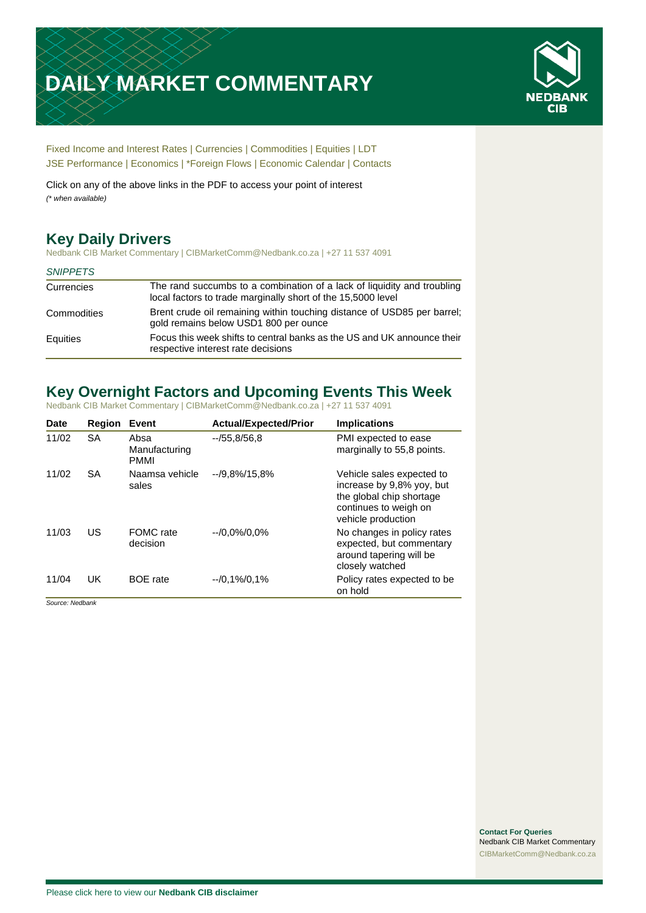# **DAILY MARKET COMMENTARY**



[Fixed Income and Interest Rates](#page-1-0) | [Currencies](#page-2-0) | [Commodities](#page-3-0) [| Equities](#page-4-0) | [LDT](#page-5-0) [JSE Performance](#page-6-0) [| Economics](#page-7-0) | [\\*Foreign Flows](#page-7-0) | [Economic Calendar](#page-7-0) | [Contacts](#page-8-0)

Click on any of the above links in the PDF to access your point of interest *(\* when available)*

# **Key Daily Drivers**

Nedbank CIB Market Commentary | CIBMarketComm@Nedbank.co.za | +27 11 537 4091

### *SNIPPETS*

| Currencies  | The rand succumbs to a combination of a lack of liquidity and troubling<br>local factors to trade marginally short of the 15,5000 level |
|-------------|-----------------------------------------------------------------------------------------------------------------------------------------|
| Commodities | Brent crude oil remaining within touching distance of USD85 per barrel;<br>gold remains below USD1 800 per ounce                        |
| Equities    | Focus this week shifts to central banks as the US and UK announce their<br>respective interest rate decisions                           |

# **Key Overnight Factors and Upcoming Events This Week**

Nedbank CIB Market Commentary | CIBMarketComm@Nedbank.co.za | +27 11 537 4091

| <b>Date</b> | Region    | Event                                | <b>Actual/Expected/Prior</b> | <b>Implications</b>                                                                                                               |
|-------------|-----------|--------------------------------------|------------------------------|-----------------------------------------------------------------------------------------------------------------------------------|
| 11/02       | <b>SA</b> | Absa<br>Manufacturing<br><b>PMMI</b> | $-755,8/56,8$                | PMI expected to ease<br>marginally to 55,8 points.                                                                                |
| 11/02       | SA        | Naamsa vehicle<br>sales              | $-19.8\%/15.8\%$             | Vehicle sales expected to<br>increase by 9,8% yoy, but<br>the global chip shortage<br>continues to weigh on<br>vehicle production |
| 11/03       | US        | FOMC rate<br>decision                | $-10.0\%/0.0\%$              | No changes in policy rates<br>expected, but commentary<br>around tapering will be<br>closely watched                              |
| 11/04       | UK        | <b>BOE</b> rate                      | $-0.1\%/0.1\%$               | Policy rates expected to be<br>on hold                                                                                            |

*Source: Nedbank*

**Contact For Queries** Nedbank CIB Market Commentary [CIBMarketComm@Nedbank.co.za](file:///C:/Users/Paul-Rose/AppData/Roaming/Bluecurve/templates/CIBMarketComm@Nedbank.co.za)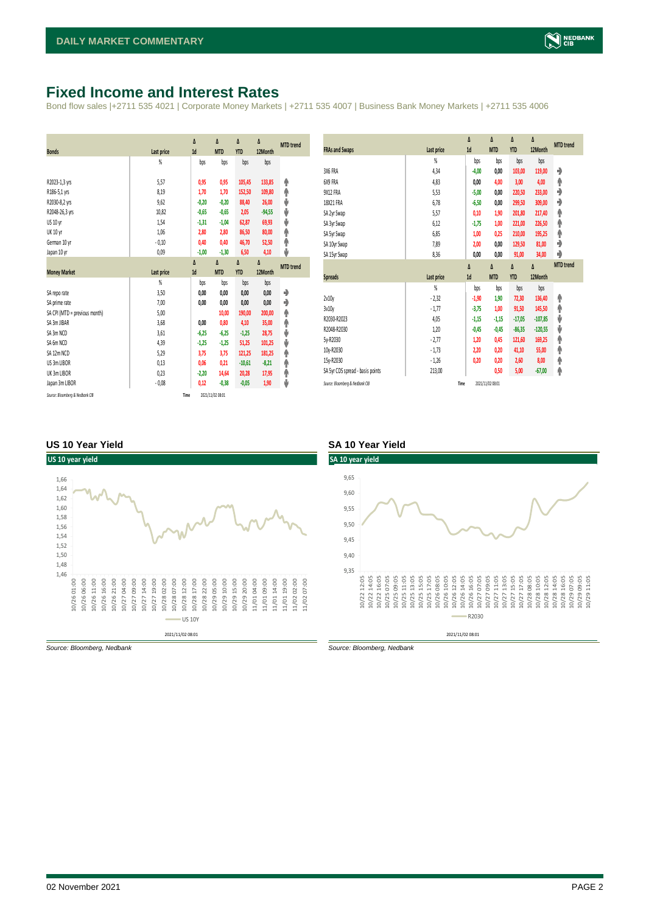### <span id="page-1-0"></span>**Fixed Income and Interest Rates**

Bond flow sales |+2711 535 4021 | Corporate Money Markets | +2711 535 4007 | Business Bank Money Markets | +2711 535 4006

| <b>Bonds</b>                  | Last price     | Δ<br>1d | Δ<br><b>MTD</b> | Δ<br><b>YTD</b> | Δ<br>12Month | <b>MTD</b> trend |
|-------------------------------|----------------|---------|-----------------|-----------------|--------------|------------------|
|                               | %              | bps     | bps             | bps             | bps          |                  |
| R2023-1,3 yrs                 | 5.57           | 0,95    | 0,95            | 105,45          | 133,85       | ۸                |
| R186-5,1 yrs                  | 8,19           | 1,70    | 1,70            | 152,50          | 109,80       | ۸                |
| R2030-8,2 yrs                 | 9,62           | $-0,20$ | $-0,20$         | 88,40           | 26,00        | ψ                |
| R2048-26,3 yrs                | 10,82          | $-0,65$ | $-0,65$         | 2,05            | $-94,55$     | ψ                |
| <b>US 10 vr</b>               | 1,54           | $-1,31$ | $-1,04$         | 62,87           | 69,93        | ψ                |
| <b>UK 10 yr</b>               | 1,06           | 2,80    | 2,80            | 86,50           | 80,00        | ۸                |
| German 10 yr                  | $-0,10$        | 0,40    | 0,40            | 46,70           | 52,50        | ۸                |
| Japan 10 yr                   | 0,09           | $-1,00$ | $-1,30$         | 6,50            | 4,10         | J                |
|                               |                | Δ       | Δ               | Δ               | Δ            | <b>MTD</b> trend |
|                               |                |         |                 |                 |              |                  |
| <b>Money Market</b>           | Last price     | 1d      | <b>MTD</b>      | <b>YTD</b>      | 12Month      |                  |
|                               | $\frac{9}{20}$ | bps     | bps             | bps             | bps          |                  |
| SA reporate                   | 3,50           | 0,00    | 0,00            | 0,00            | 0,00         | ۰                |
| SA prime rate                 | 7,00           | 0,00    | 0,00            | 0,00            | 0,00         | ♦                |
| SA CPI (MTD = previous month) | 5,00           |         | 10,00           | 190,00          | 200,00       | ۸                |
| SA 3m JIBAR                   | 3,68           | 0.00    | 0,80            | 4,10            | 35,00        | ۸                |
| SA 3m NCD                     | 3,61           | $-6,25$ | $-6,25$         | $-1,25$         | 28,75        | ψ                |
| SA 6m NCD                     | 4,39           | $-1,25$ | $-1,25$         | 51,25           | 101,25       | ψ                |
| SA 12m NCD                    | 5,29           | 3,75    | 3,75            | 121,25          | 181,25       | ۸                |
| US 3m LIBOR                   | 0,13           | 0,06    | 0,21            | $-10,61$        | $-8,21$      | φ                |
| UK 3m LIBOR                   | 0,23           | $-2,20$ | 14,64           | 20,28           | 17,95        | ۸                |
| Japan 3m LIBOR                | $-0.08$        | 0,12    | $-0,38$         | $-0,05$         | 1,90         | ψ                |

| <b>FRAs and Swaps</b>            | Last price                   | Δ<br>1d | Δ<br><b>MTD</b> | Δ<br><b>YTD</b> | Δ<br>12Month        | <b>MTD</b> trend |
|----------------------------------|------------------------------|---------|-----------------|-----------------|---------------------|------------------|
|                                  | $\frac{9}{20}$               | bps     | bps             | bps             | bps                 |                  |
| 3X6 FRA                          | 4,34                         | $-4,00$ | 0,00            | 103,00          | 119,00              | ۰                |
| 6X9 FRA                          | 4,83                         | 0,00    | 4,00            | 3,00            | 4,00                | ۸                |
| 9X12 FRA                         | 5,53                         | $-5,00$ | 0,00            | 220,50          | 233,00              | ۰                |
| 18X21 FRA                        | 6,78                         | $-6,50$ | 0,00            | 299,50          | 309,00              | ۰                |
| SA 2yr Swap                      | 5,57                         | 0,10    | 1,90            | 201,80          | 217,40              | ۸                |
| SA 3yr Swap                      | 6,12                         | $-1,75$ | 1,00            | 221,00          | 226,50              | φ                |
| SA 5yr Swap                      | 6,85                         | 1,00    | 0,25            | 210,00          | 195,25              | ♠                |
| SA 10yr Swap                     | 7,89                         | 2,00    | 0,00            | 129,50          | 81,00               | ۰                |
| SA 15yr Swap                     | 8,36                         | 0,00    | 0,00            | 91,00           | 34,00               | ♦                |
|                                  |                              |         |                 |                 |                     | <b>MTD</b> trend |
|                                  |                              |         |                 |                 |                     |                  |
| <b>Spreads</b>                   |                              | Δ<br>1d | Δ<br><b>MTD</b> | Δ<br><b>YTD</b> | $\Delta$<br>12Month |                  |
|                                  | Last price<br>$\frac{9}{20}$ | bps     | bps             | bps             | bps                 |                  |
| 2v10v                            | $-2,32$                      | $-1,90$ | 1,90            | 72,30           | 136,40              |                  |
| 3v10y                            | $-1,77$                      | $-3,75$ | 1,00            | 91,50           | 145,50              | ۸                |
| R2030-R2023                      | 4,05                         | $-1,15$ | $-1,15$         | $-17,05$        | $-107,85$           | ♠<br>ψ           |
| R2048-R2030                      | 1,20                         | $-0,45$ | $-0,45$         | $-86,35$        | $-120,55$           | ψ                |
| 5y-R2030                         | $-2,77$                      | 1,20    | 0,45            | 121,60          | 169,25              | φ                |
| 10y-R2030                        | $-1,73$                      | 2,20    | 0,20            | 41,10           | 55,00               |                  |
| 15y-R2030                        | $-1,26$                      | 0,20    | 0,20            | 2,60            | 8,00                | ♠<br>φ           |
| SA 5yr CDS spread - basis points | 213,00                       |         | 0,50            | 5,00            | $-67,00$            | φ                |

### **US 10 Year Yield SA 10 Year Yield**



*Source: Bloomberg, Nedbank Source: Bloomberg, Nedbank*

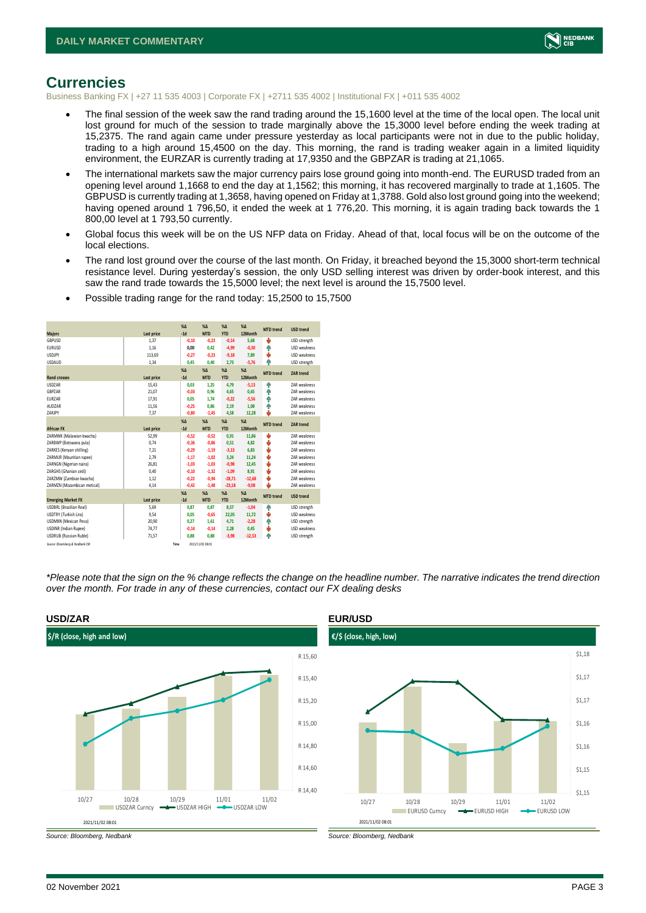

### <span id="page-2-0"></span>**Currencies**

Business Banking FX | +27 11 535 4003 | Corporate FX | +2711 535 4002 | Institutional FX | +011 535 4002

- The final session of the week saw the rand trading around the 15,1600 level at the time of the local open. The local unit lost ground for much of the session to trade marginally above the 15,3000 level before ending the week trading at 15,2375. The rand again came under pressure yesterday as local participants were not in due to the public holiday, trading to a high around 15,4500 on the day. This morning, the rand is trading weaker again in a limited liquidity environment, the EURZAR is currently trading at 17,9350 and the GBPZAR is trading at 21,1065.
- The international markets saw the major currency pairs lose ground going into month-end. The EURUSD traded from an opening level around 1,1668 to end the day at 1,1562; this morning, it has recovered marginally to trade at 1,1605. The GBPUSD is currently trading at 1,3658, having opened on Friday at 1,3788. Gold also lost ground going into the weekend; having opened around 1 796,50, it ended the week at 1 776,20. This morning, it is again trading back towards the 1 800,00 level at 1 793,50 currently.
- Global focus this week will be on the US NFP data on Friday. Ahead of that, local focus will be on the outcome of the local elections.
- The rand lost ground over the course of the last month. On Friday, it breached beyond the 15,3000 short-term technical resistance level. During yesterday's session, the only USD selling interest was driven by order-book interest, and this saw the rand trade towards the 15,5000 level; the next level is around the 15,7500 level.

| <b>Majors</b>                   | Last price | X <sub>A</sub><br>$-1d$ | X <sub>A</sub><br><b>MTD</b> | $\%$ $\Lambda$<br><b>YTD</b> | $% \Lambda$<br>12Month | <b>MTD</b> trend | <b>USD trend</b>    |
|---------------------------------|------------|-------------------------|------------------------------|------------------------------|------------------------|------------------|---------------------|
| <b>GBPUSD</b>                   | 1.37       | $-0.10$                 | $-0,23$                      | $-0,14$                      | 5.68                   | ψ                | USD strength        |
| <b>EURUSD</b>                   | 1.16       | 0.00                    | 0.42                         | $-4,99$                      | $-0.30$                | ۸                | USD weakness        |
| <b>LISDIPY</b>                  | 113.69     | $-0.27$                 | $-0.23$                      | $-9,18$                      | 7.89                   | s                | <b>USD</b> weakness |
| <b>USDAUD</b>                   | 1,34       | 0.45                    | 0.40                         | 2,73                         | $-5,76$                | Φ                | USD strength        |
|                                 |            | $X\Delta$               | $X\Delta$                    | $% \Delta$                   | $% \Delta$             | <b>MTD</b> trend | <b>ZAR trend</b>    |
| <b>Rand crosses</b>             | Last price | $-1d$                   | <b>MTD</b>                   | <b>YTD</b>                   | 12Month                |                  |                     |
| <b>USDZAR</b>                   | 15,43      | 0.03                    | 1.25                         | 4,79                         | $-5.13$                | ٠                | ZAR weakness        |
| <b>GRP7AR</b>                   | 21.07      | $-0.03$                 | 0.96                         | 4.65                         | 0.65                   | ۸                | <b>7AR</b> weakness |
| <b>EURZAR</b>                   | 17,91      | 0.05                    | 1.74                         | $-0,22$                      | $-5,56$                | ٠                | <b>7AR</b> weakness |
| AUD7AR                          | 11,56      | $-0,25$                 | 0.86                         | 2,19                         | 1,08                   | ۸                | <b>7AR</b> weakness |
| ZARJPY                          | 7,37       | $-0,80$                 | $-1,45$                      | 4,58                         | 12,28                  | ۵                | ZAR weakness        |
|                                 |            | X <sub>A</sub>          | X <sub>A</sub>               | $% \Delta$                   | $% \Delta$             | <b>MTD</b> trend | <b>ZAR trend</b>    |
| <b>African FX</b>               | Last price | $-1d$                   | <b>MTD</b>                   | <b>YTD</b>                   | 12Month                |                  |                     |
| ZARMWK (Malawian kwacha)        | 52,99      | $-0,52$                 | $-0,52$                      | 0,91                         | 11,86                  | v                | <b>7AR</b> weakness |
| ZARBWP (Botswana pula)          | 0.74       | $-0.36$                 | $-0.86$                      | 0,51                         | 4.82                   | ψ                | <b>7AR</b> weakness |
| ZARKES (Kenvan shilling)        | 7.21       | $-0.29$                 | $-1.19$                      | $-3,13$                      | 6.83                   | v                | <b>7AR</b> weakness |
| ZARMUR (Mauritian rupee)        | 2.79       | $-1,17$                 | $-1,02$                      | 3,24                         | 11.24                  | ψ                | <b>7AR</b> weakness |
| ZARNGN (Nigerian naira)         | 26,81      | $-1.03$                 | $-1.03$                      | $-0,98$                      | 12,45                  | v                | <b>7AR</b> weakness |
| ZARGHS (Ghanian cedi)           | 0,40       | $-0,10$                 | $-1,32$                      | $-1,09$                      | 8,91                   | v                | <b>7AR</b> weakness |
| ZARZMW (Zambian kwacha)         | 1,12       | $-0,22$                 | $-0,94$                      | $-28,71$                     | $-12,68$               | ψ                | <b>7AR</b> weakness |
| ZARMZN (Mozambican metical)     | 4.14       | $-0.42$                 | $-1.48$                      | $-23,18$                     | $-9.08$                | ٠                | ZAR weakness        |
|                                 |            | X <sub>A</sub>          | $X\Lambda$                   | $\%$ $\Lambda$               | $% \Lambda$            | <b>MTD</b> trend | <b>USD trend</b>    |
| <b>Emerging Market FX</b>       | Last price | $-1d$                   | <b>MTD</b>                   | <b>YTD</b>                   | 12Month                |                  |                     |
| <b>USDBRL (Brazilian Real)</b>  | 5,69       | 0.87                    | 0.87                         | 8,57                         | $-1.04$                | ٠                | USD strength        |
| USDTRY (Turkish Lira)           | 9,54       | 0.05                    | $-0.65$                      | 22,05                        | 11.72                  | Φ                | USD weakness        |
| <b>USDMXN (Mexican Peso)</b>    | 20.90      | 0.27                    | 1.61                         | 4.71                         | $-2.28$                | ٠                | USD strength        |
| <b>USDINR</b> (Indian Rupee)    | 74,77      | $-0,14$                 | $-0,14$                      | 2,28                         | 0,45                   | ÷                | USD weakness        |
| <b>USDRUB (Russian Ruble)</b>   | 71.57      | 0.88                    | 0.88                         | $-3,98$                      | $-12.53$               | ۸                | USD strength        |
| Source: Bloomberg & Nedbank CIB | Time       |                         | 2021/11/02 08:01             |                              |                        |                  |                     |

• Possible trading range for the rand today: 15,2500 to 15,7500

*\*Please note that the sign on the % change reflects the change on the headline number. The narrative indicates the trend direction over the month. For trade in any of these currencies, contact our FX dealing desks*



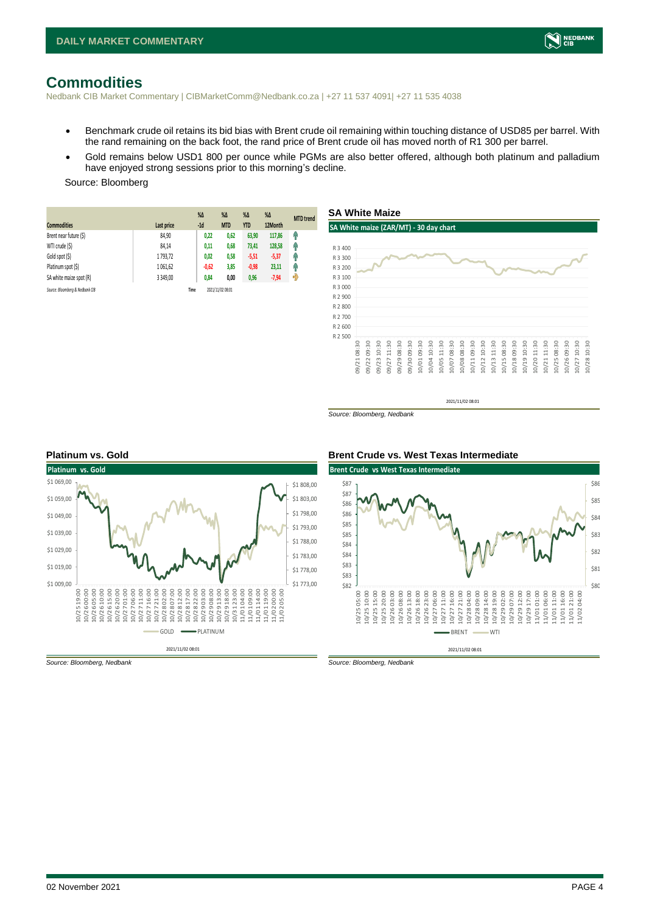

### <span id="page-3-0"></span>**Commodities**

Nedbank CIB Market Commentary | CIBMarketComm@Nedbank.co.za | +27 11 537 4091| +27 11 535 4038

- Benchmark crude oil retains its bid bias with Brent crude oil remaining within touching distance of USD85 per barrel. With the rand remaining on the back foot, the rand price of Brent crude oil has moved north of R1 300 per barrel.
- Gold remains below USD1 800 per ounce while PGMs are also better offered, although both platinum and palladium have enjoyed strong sessions prior to this morning's decline.

### Source: Bloomberg

| <b>Commodities</b>              | Last price    | $%$ $\Delta$<br>$-1d$ | $% \Delta$<br><b>MTD</b> | $% \Delta$<br><b>YTD</b> | $%$ $\Delta$<br>12Month | <b>MTD</b> trend |
|---------------------------------|---------------|-----------------------|--------------------------|--------------------------|-------------------------|------------------|
| Brent near future (\$)          | 84,90         | 0,22                  | 0,62                     | 63,90                    | 117,86                  | G                |
| WTI crude (\$)                  | 84,14         | 0,11                  | 0,68                     | 73,41                    | 128,58                  | η,               |
| Gold spot (\$)                  | 1793,72       | 0,02                  | 0,58                     | $-5,51$                  | $-5,37$                 | q,               |
| Platinum spot (\$)              | 1 061,62      | $-0,62$               | 3,85                     | $-0,98$                  | 23,11                   | 4                |
| SA white maize spot (R)         | 3 3 4 9 . 0 0 | 0,84                  | 0,00                     | 0,96                     | $-7,94$                 | ჟ                |
| Source: Bloomberg & Nedbank CIB |               | Time                  | 2021/11/02 08:01         |                          |                         |                  |



2021/11/02 08:01

*Source: Bloomberg, Nedbank*



*Source: Bloomberg, Nedbank Source: Bloomberg, Nedbank*

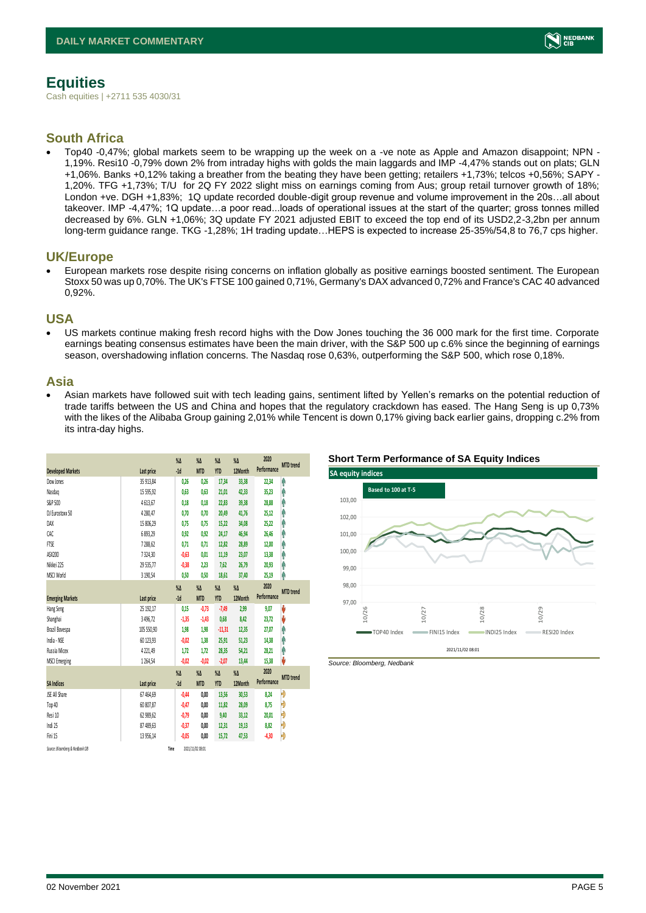

## <span id="page-4-0"></span>**Equities**

Cash equities | +2711 535 4030/31

### **South Africa**

• Top40 -0,47%; global markets seem to be wrapping up the week on a -ve note as Apple and Amazon disappoint; NPN - 1,19%. Resi10 -0,79% down 2% from intraday highs with golds the main laggards and IMP -4,47% stands out on plats; GLN +1,06%. Banks +0,12% taking a breather from the beating they have been getting; retailers +1,73%; telcos +0,56%; SAPY - 1,20%. TFG +1,73%; T/U for 2Q FY 2022 slight miss on earnings coming from Aus; group retail turnover growth of 18%; London +ve. DGH +1,83%; 1Q update recorded double-digit group revenue and volume improvement in the 20s...all about takeover. IMP -4,47%; 1Q update…a poor read...loads of operational issues at the start of the quarter; gross tonnes milled decreased by 6%. GLN +1,06%; 3Q update FY 2021 adjusted EBIT to exceed the top end of its USD2,2-3,2bn per annum long-term guidance range. TKG -1,28%; 1H trading update…HEPS is expected to increase 25-35%/54,8 to 76,7 cps higher.

### **UK/Europe**

• European markets rose despite rising concerns on inflation globally as positive earnings boosted sentiment. The European Stoxx 50 was up 0,70%. The UK's FTSE 100 gained 0,71%, Germany's DAX advanced 0,72% and France's CAC 40 advanced 0,92%.

### **USA**

• US markets continue making fresh record highs with the Dow Jones touching the 36 000 mark for the first time. Corporate earnings beating consensus estimates have been the main driver, with the S&P 500 up c.6% since the beginning of earnings season, overshadowing inflation concerns. The Nasdaq rose 0,63%, outperforming the S&P 500, which rose 0,18%.

### **Asia**

• Asian markets have followed suit with tech leading gains, sentiment lifted by Yellen's remarks on the potential reduction of trade tariffs between the US and China and hopes that the regulatory crackdown has eased. The Hang Seng is up 0,73% with the likes of the Alibaba Group gaining 2,01% while Tencent is down 0,17% giving back earlier gains, dropping c.2% from its intra-day highs.

|                                 |              | $\%$ $\Delta$ | $\%$ $\Delta$    | $\%$ $\Delta$ | $\%$ $\Delta$ | 2020        | <b>MTD</b> trend |
|---------------------------------|--------------|---------------|------------------|---------------|---------------|-------------|------------------|
| <b>Developed Markets</b>        | Last price   | $-1d$         | <b>MTD</b>       | <b>YTD</b>    | 12Month       | Performance |                  |
| Dow Jones                       | 35 913,84    | 0,26          | 0,26             | 17,34         | 33,38         | 22,34       | ٨                |
| Nasdao                          | 15 595,92    | 0.63          | 0.63             | 21,01         | 42,33         | 35,23       | Α                |
| S&P 500                         | 4613,67      | 0,18          | 0,18             | 22,83         | 39,38         | 28,88       | ٨                |
| DJ Eurostoxx 50                 | 4 280,47     | 0.70          | 0.70             | 20,49         | 41,76         | 25,12       | Ą                |
| DAX                             | 15 806,29    | 0.75          | 0.75             | 15,22         | 34,08         | 25,22       | Ĥ                |
| CAC                             | 6893,29      | 0,92          | 0,92             | 24,17         | 46,94         | 26,46       | ٨                |
| <b>FTSE</b>                     | 7288,62      | 0,71          | 0,71             | 12,82         | 28,89         | 12,00       | ٨                |
| ASX200                          | 7324,30      | $-0,63$       | 0,01             | 11,19         | 23,07         | 13,38       | Α                |
| Nikkei 225                      | 29 535.77    | $-0,38$       | 2.23             | 7.62          | 26.79         | 20,93       | Ą                |
| MSCI World                      | 3 190,54     | 0,50          | 0,50             | 18,61         | 37,40         | 25,19       | Α                |
|                                 |              | $\%$          | $\%$ $\Delta$    | $\%$ $\Delta$ | $\%$ $\Delta$ | 2020        |                  |
| <b>Emerging Markets</b>         | Last price   | $-1d$         | <b>MTD</b>       | <b>YTD</b>    | 12Month       | Performance | <b>MTD</b> trend |
| Hang Seng                       | 25 192,17    | 0,15          | $-0,73$          | $-7,49$       | 2,99          | 9,07        | V                |
| Shanghai                        | 3 4 9 6, 7 2 | $-1,35$       | $-1,43$          | 0,68          | 8,42          | 23,72       | V                |
| Brazil Bovespa                  | 105 550.90   | 1,98          | 1,98             | $-11,31$      | 12.35         | 27.07       | ٨                |
| India - NSE                     | 60 123,93    | $-0.02$       | 1,38             | 25,91         | 51,23         | 14,38       | Λ                |
| Russia Micex                    | 4 2 2 1,49   | 1,72          | 1.72             | 28,35         | 54,21         | 28,21       | ٨                |
| <b>MSCI Emerging</b>            | 1264,54      | $-0.02$       | $-0.02$          | $-2,07$       | 13,44         | 15,38       | V                |
|                                 |              | $\%$ $\Delta$ | $\%$ $\Delta$    | $\%$ $\Delta$ | $\%$ $\Delta$ | 2020        |                  |
| <b>SA Indices</b>               | Last price   | $-1d$         | <b>MTD</b>       | <b>YTD</b>    | 12Month       | Performance | <b>MTD</b> trend |
| <b>ISE All Share</b>            | 67 464,69    | $-0,44$       | 0,00             | 13,56         | 30,53         | 8,24        | Đ                |
| Top 40                          | 60 807,87    | $-0.47$       | 0,00             | 11,82         | 28,09         | 8,75        | Đ                |
| Resi 10                         | 62 989,62    | $-0,79$       | 0.00             | 9,40          | 33,12         | 20,01       | Ð                |
| Indi 25                         | 87 489,63    | $-0,37$       | 0,00             | 12,31         | 19,13         | 8,82        | Ð                |
| Fini 15                         | 13 956.14    | $-0.05$       | 0.00             | 15.72         | 47.53         | $-4,30$     | Đ                |
| Source: Bloomberg & Nedbonk CIB |              | Time          | 2021/11/02 08:01 |               |               |             |                  |





*Source: Bloomberg, Nedbank*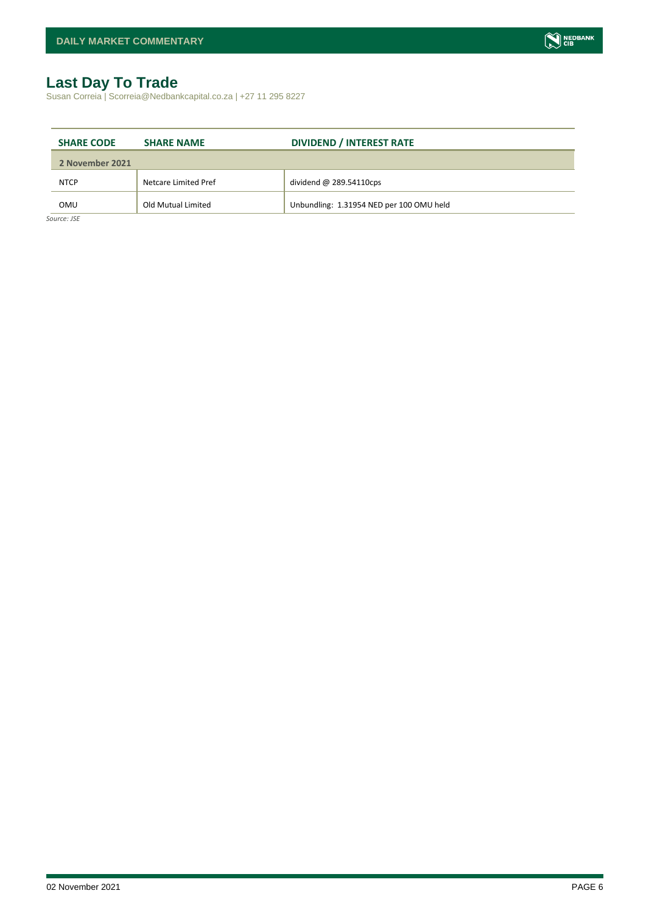# <span id="page-5-0"></span>**Last Day To Trade**

Susan Correia | Scorreia@Nedbankcapital.co.za | +27 11 295 8227

| <b>SHARE CODE</b> | <b>SHARE NAME</b>    | <b>DIVIDEND / INTEREST RATE</b>          |
|-------------------|----------------------|------------------------------------------|
| 2 November 2021   |                      |                                          |
| <b>NTCP</b>       | Netcare Limited Pref | dividend $@$ 289.54110cps                |
| OMU               | Old Mutual Limited   | Unbundling: 1.31954 NED per 100 OMU held |
| Source: JSE       |                      |                                          |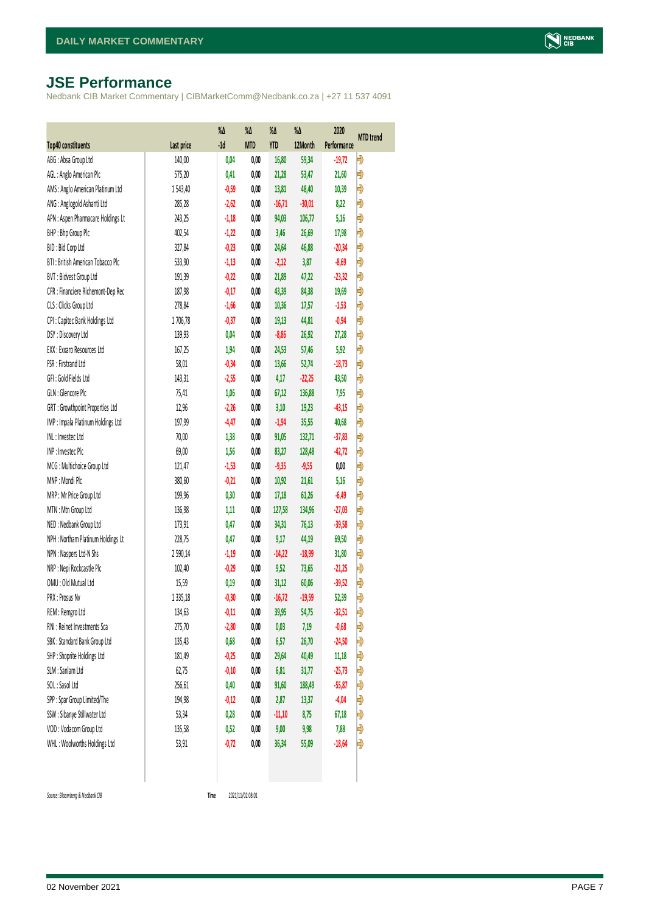# <span id="page-6-0"></span>**JSE Performance**

Nedbank CIB Market Commentary | CIBMarketComm@Nedbank.co.za | +27 11 537 4091

|                                    |            | %Δ      | %Δ         | %Δ         | %Δ       | 2020        |           |
|------------------------------------|------------|---------|------------|------------|----------|-------------|-----------|
| <b>Top40 constituents</b>          | Last price | $-1d$   | <b>MTD</b> | <b>YTD</b> | 12Month  | Performance | MTD trend |
| ABG: Absa Group Ltd                | 140,00     | 0,04    | 0,00       | 16,80      | 59,34    | $-19,72$    | Đ         |
| AGL: Anglo American Plc            | 575,20     | 0,41    | 0,00       | 21,28      | 53,47    | 21,60       | Đ         |
| AMS: Anglo American Platinum Ltd   | 1543,40    | $-0,59$ | 0,00       | 13,81      | 48,40    | 10,39       | Đ         |
| ANG: Anglogold Ashanti Ltd         | 285,28     | $-2,62$ | 0,00       | $-16,71$   | $-30,01$ | 8,22        | Đ         |
| APN : Aspen Pharmacare Holdings Lt | 243,25     | $-1,18$ | 0,00       | 94,03      | 106,77   | 5,16        | Đ         |
| BHP: Bhp Group Plc                 | 402,54     | $-1,22$ | 0,00       | 3,46       | 26,69    | 17,98       | Đ         |
| BID: Bid Corp Ltd                  | 327,84     | $-0,23$ | 0,00       | 24,64      | 46,88    | $-20,34$    | Đ         |
| BTI: British American Tobacco Plc  | 533,90     | $-1,13$ | 0,00       | $-2,12$    | 3,87     | $-8,69$     | Đ         |
| BVT: Bidvest Group Ltd             | 191,39     | $-0,22$ | 0,00       | 21,89      | 47,22    | $-23,32$    | Đ         |
| CFR : Financiere Richemont-Dep Rec | 187,98     | $-0,17$ | 0,00       | 43,39      | 84,38    | 19,69       | Đ         |
| CLS : Clicks Group Ltd             | 278,84     | $-1,66$ | 0,00       | 10,36      | 17,57    | $-1,53$     | Ð         |
| CPI : Capitec Bank Holdings Ltd    | 1706,78    | $-0,37$ | 0,00       | 19,13      | 44,81    | $-0,94$     | Đ         |
| DSY: Discovery Ltd                 | 139,93     | 0,04    | 0,00       | $-8,86$    | 26,92    | 27,28       | Đ         |
| EXX : Exxaro Resources Ltd         | 167,25     | 1,94    | 0,00       | 24,53      | 57,46    | 5,92        | Đ         |
| FSR: Firstrand Ltd                 | 58,01      | $-0,34$ | 0,00       | 13,66      | 52,74    | $-18,73$    | Đ         |
| GFI: Gold Fields Ltd               | 143,31     | $-2,55$ | 0,00       | 4,17       | $-22,25$ | 43,50       | Đ         |
| GLN : Glencore Plc                 | 75,41      | 1,06    | 0,00       | 67,12      | 136,88   | 7,95        | Đ         |
| GRT : Growthpoint Properties Ltd   | 12,96      | $-2,26$ | 0,00       | 3,10       | 19,23    | $-43,15$    | Đ         |
| IMP : Impala Platinum Holdings Ltd | 197,99     | $-4,47$ | 0,00       | $-1,94$    | 35,55    | 40,68       | Đ         |
| INL: Investec Ltd                  | 70,00      | 1,38    | 0,00       | 91,05      | 132,71   | $-37,83$    | Đ         |
| INP: Invested Plc                  | 69,00      | 1,56    | 0,00       | 83,27      | 128,48   | $-42,72$    | Đ         |
| MCG: Multichoice Group Ltd         | 121,47     | $-1,53$ | 0,00       | $-9,35$    | $-9,55$  | 0,00        | Đ         |
| MNP: Mondi Plc                     | 380,60     | $-0,21$ | 0,00       | 10,92      | 21,61    | 5,16        | Ð         |
| MRP : Mr Price Group Ltd           | 199,96     | 0,30    | 0,00       | 17,18      | 61,26    | $-6,49$     | Đ         |
| MTN: Mtn Group Ltd                 | 136,98     | 1,11    | 0,00       | 127,58     | 134,96   | $-27,03$    | Đ         |
| NED: Nedbank Group Ltd             | 173,91     | 0,47    | 0,00       | 34,31      | 76,13    | $-39,58$    | Đ         |
| NPH : Northam Platinum Holdings Lt | 228,75     | 0,47    | 0,00       | 9,17       | 44,19    | 69,50       | Ð         |
| NPN : Naspers Ltd-N Shs            | 2590,14    | $-1,19$ | 0,00       | $-14,22$   | $-18,99$ | 31,80       | Đ         |
| NRP : Nepi Rockcastle Plc          | 102,40     | $-0,29$ | 0,00       | 9,52       | 73,65    | $-21,25$    | Đ         |
| OMU: Old Mutual Ltd                | 15,59      | 0,19    | 0,00       | 31,12      | 60,06    | $-39,52$    | Ð         |
| PRX : Prosus Nv                    | 1335,18    | $-0,30$ | 0,00       | $-16,72$   | $-19,59$ | 52,39       | Đ         |
| REM : Remgro Ltd                   | 134,63     | $-0,11$ | 0,00       | 39,95      | 54,75    | $-32,51$    | Ð         |
| RNI : Reinet Investments Sca       | 275,70     | $-2,80$ | 0,00       | 0,03       | 7,19     | $-0,68$     | Ð         |
| SBK: Standard Bank Group Ltd       | 135,43     | 0,68    | 0,00       | 6,57       | 26,70    | $-24,50$    | Đ         |
| SHP: Shoprite Holdings Ltd         | 181,49     | $-0,25$ | 0,00       | 29,64      | 40,49    | 11,18       | Đ         |
| SLM : Sanlam Ltd                   | 62,75      | $-0,10$ | 0,00       | 6,81       | 31,77    | $-25,73$    | Đ         |
| SOL: Sasol Ltd                     | 256,61     | 0,40    | 0,00       | 91,60      | 188,49   | $-55,87$    | Đ         |
| SPP: Spar Group Limited/The        | 194,98     | $-0,12$ | 0,00       | 2,87       | 13,37    | $-4,04$     | Đ         |
| SSW : Sibanye Stillwater Ltd       | 53,34      | 0,28    | 0,00       | $-11,10$   | 8,75     | 67,18       | Ð         |
| VOD: Vodacom Group Ltd             | 135,58     | 0,52    | 0,00       | 9,00       | 9,98     | 7,88        | Đ         |
| WHL: Woolworths Holdings Ltd       | 53,91      | $-0,72$ | 0,00       | 36,34      | 55,09    | $-18,64$    | Đ         |
|                                    |            |         |            |            |          |             |           |

 $Source: Bloomberg & Nedbank *CB*$ 

Time 2021/11/02 08:01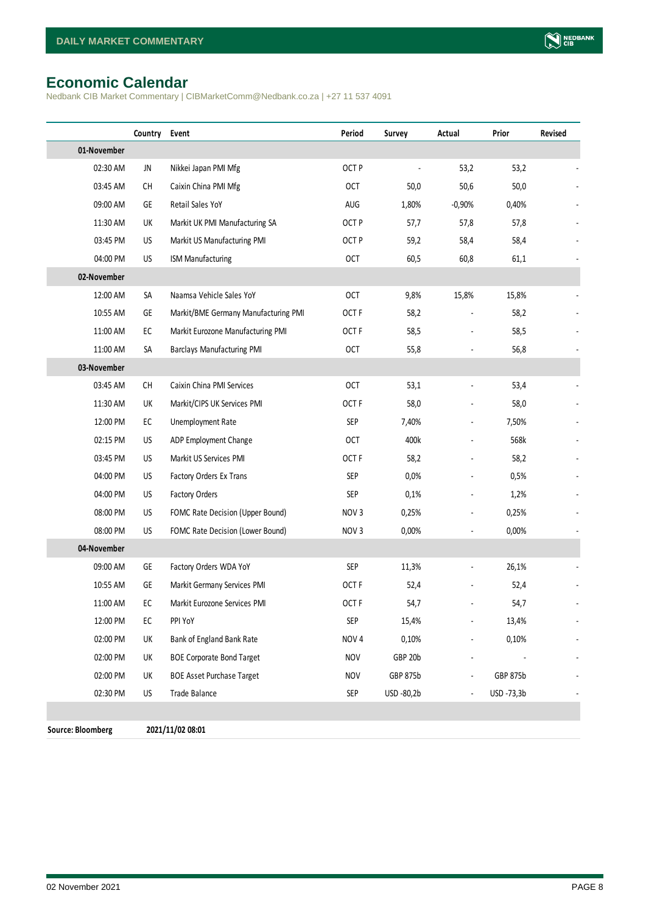# <span id="page-7-0"></span>**Economic Calendar**

Nedbank CIB Market Commentary | CIBMarketComm@Nedbank.co.za | +27 11 537 4091

|                          | Country                                                                                                 | Event                                | Period           | Survey     | Actual         | Prior           | Revised |
|--------------------------|---------------------------------------------------------------------------------------------------------|--------------------------------------|------------------|------------|----------------|-----------------|---------|
| 01-November              |                                                                                                         |                                      |                  |            |                |                 |         |
| 02:30 AM                 | JN                                                                                                      | Nikkei Japan PMI Mfg                 | OCT <sub>P</sub> |            | 53,2           | 53,2            |         |
| 03:45 AM                 | СH                                                                                                      | Caixin China PMI Mfg                 | <b>OCT</b>       | 50,0       | 50,6           | 50,0            |         |
| 09:00 AM                 | GE                                                                                                      | Retail Sales YoY                     | AUG              | 1,80%      | $-0,90%$       | 0,40%           |         |
| 11:30 AM                 | UK                                                                                                      | Markit UK PMI Manufacturing SA       | OCT <sub>P</sub> | 57,7       | 57,8           | 57,8            |         |
| 03:45 PM                 | US                                                                                                      | Markit US Manufacturing PMI          | OCT <sub>P</sub> | 59,2       | 58,4           | 58,4            |         |
| 04:00 PM                 | US                                                                                                      | <b>ISM Manufacturing</b>             | <b>OCT</b>       | 60,5       | 60,8           | 61,1            |         |
| 02-November              |                                                                                                         |                                      |                  |            |                |                 |         |
| 12:00 AM                 | SA                                                                                                      | Naamsa Vehicle Sales YoY             | <b>OCT</b>       | 9,8%       | 15,8%          | 15,8%           |         |
| 10:55 AM                 | GE                                                                                                      | Markit/BME Germany Manufacturing PMI | OCT <sub>F</sub> | 58,2       |                | 58,2            |         |
| 11:00 AM                 | EC                                                                                                      | Markit Eurozone Manufacturing PMI    | OCT <sub>F</sub> | 58,5       |                | 58,5            |         |
| 11:00 AM                 | SA                                                                                                      | <b>Barclays Manufacturing PMI</b>    | <b>OCT</b>       | 55,8       |                | 56,8            |         |
| 03-November              |                                                                                                         |                                      |                  |            |                |                 |         |
| 03:45 AM                 | $\mathsf{CH}% _{\mathsf{C}}^{\mathsf{C}}(\mathsf{C})=\mathsf{CH}_{\mathsf{C}}^{\mathsf{C}}(\mathsf{C})$ | Caixin China PMI Services            | <b>OCT</b>       | 53,1       |                | 53,4            |         |
| 11:30 AM                 | UK                                                                                                      | Markit/CIPS UK Services PMI          | OCT <sub>F</sub> | 58,0       |                | 58,0            |         |
| 12:00 PM                 | EC                                                                                                      | Unemployment Rate                    | <b>SEP</b>       | 7,40%      | $\overline{a}$ | 7,50%           |         |
| 02:15 PM                 | US                                                                                                      | ADP Employment Change                | <b>OCT</b>       | 400k       |                | 568k            |         |
| 03:45 PM                 | US                                                                                                      | Markit US Services PMI               | OCT <sub>F</sub> | 58,2       |                | 58,2            |         |
| 04:00 PM                 | US.                                                                                                     | Factory Orders Ex Trans              | <b>SEP</b>       | 0,0%       |                | 0,5%            |         |
| 04:00 PM                 | US                                                                                                      | Factory Orders                       | <b>SEP</b>       | 0,1%       |                | 1,2%            |         |
| 08:00 PM                 | US.                                                                                                     | FOMC Rate Decision (Upper Bound)     | NOV <sub>3</sub> | 0,25%      |                | 0,25%           |         |
| 08:00 PM                 | US                                                                                                      | FOMC Rate Decision (Lower Bound)     | NOV <sub>3</sub> | 0,00%      |                | 0,00%           |         |
| 04-November              |                                                                                                         |                                      |                  |            |                |                 |         |
| 09:00 AM                 | GE                                                                                                      | Factory Orders WDA YoY               | SEP              | 11,3%      |                | 26,1%           |         |
| 10:55 AM                 | GE                                                                                                      | Markit Germany Services PMI          | OCT <sub>F</sub> | 52,4       |                | 52,4            |         |
| 11:00 AM                 | EC                                                                                                      | Markit Eurozone Services PMI         | OCT <sub>F</sub> | 54,7       |                | 54,7            |         |
| 12:00 PM                 | EC                                                                                                      | PPI YoY                              | <b>SEP</b>       | 15,4%      |                | 13,4%           |         |
| 02:00 PM                 | UK                                                                                                      | Bank of England Bank Rate            | NOV <sub>4</sub> | 0,10%      |                | 0,10%           |         |
| 02:00 PM                 | UK                                                                                                      | <b>BOE Corporate Bond Target</b>     | <b>NOV</b>       | GBP 20b    |                |                 |         |
| 02:00 PM                 | UK                                                                                                      | <b>BOE Asset Purchase Target</b>     | <b>NOV</b>       | GBP 875b   |                | <b>GBP 875b</b> |         |
| 02:30 PM                 | US                                                                                                      | Trade Balance                        | <b>SEP</b>       | USD -80,2b |                | USD -73,3b      |         |
|                          |                                                                                                         |                                      |                  |            |                |                 |         |
| <b>Source: Bloomberg</b> |                                                                                                         | 2021/11/02 08:01                     |                  |            |                |                 |         |